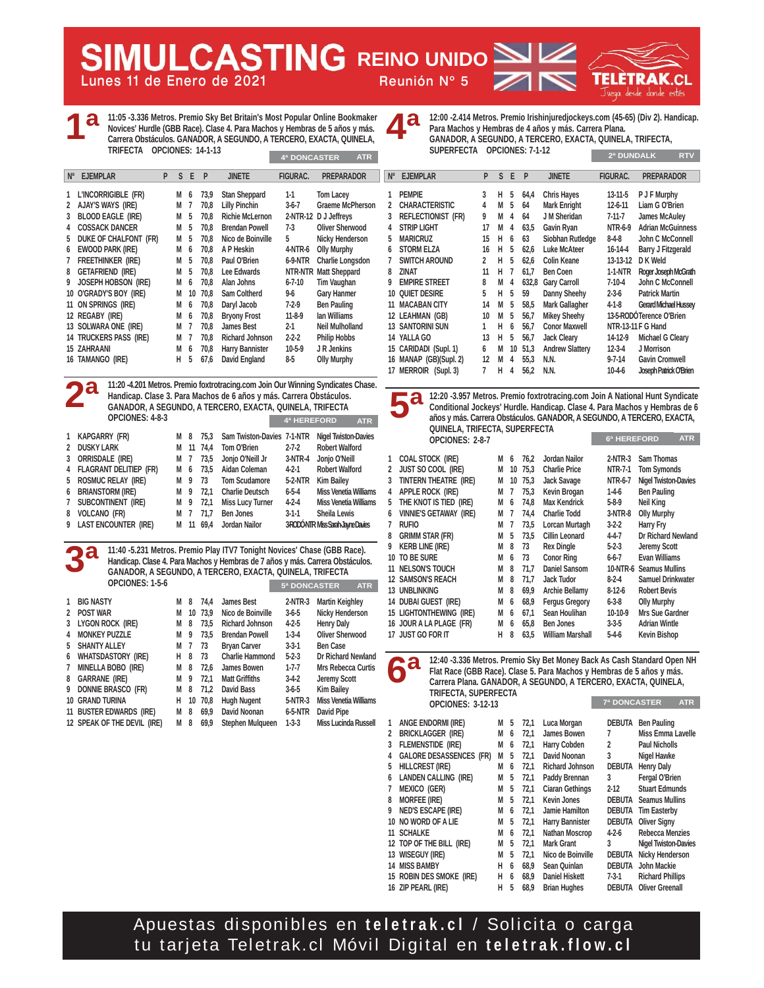**Lunes 11 de Enero de 2021 Reunión Nº 5 REING REINO UNIDO** 



**1ª**

**11:05 -3.336 Metros. Premio Sky Bet Britain's Most Popular Online Bookmaker Novices' Hurdle (GBB Race). Clase 4. Para Machos y Hembras de 5 años y más. Carrera Obstáculos. GANADOR, A SEGUNDO, A TERCERO, EXACTA, QUINELA, TRIFECTA OPCIONES: 14-1-13**

| Nº EJEMPLAR                   | P | S.  | E.   | P    | <b>JINETE</b>          | <b>FIGURAC.</b> | <b>PREPARADOR</b>       | $N^{\circ}$ | <b>EJEMPLAR</b>         | P. | S.  | E              | P    | <b>JINETE</b>          | <b>FIGURAC.</b> | <b>PREPARADOR</b>        |
|-------------------------------|---|-----|------|------|------------------------|-----------------|-------------------------|-------------|-------------------------|----|-----|----------------|------|------------------------|-----------------|--------------------------|
| 1 L'INCORRIGIBLE (FR)         |   | M 6 |      | 73.9 | <b>Stan Sheppard</b>   | $1-1$           | <b>Tom Lacey</b>        |             | PEMPIE                  |    | H.  | - 5            | 64,4 | <b>Chris Hayes</b>     | $13 - 11 - 5$   | <b>P J F Murphy</b>      |
|                               |   |     |      |      |                        |                 |                         |             |                         |    |     |                |      |                        |                 |                          |
| 2 AJAY'S WAYS (IRE)           |   | M 7 |      | 70,8 | <b>Lilly Pinchin</b>   | $3-6-7$         | Graeme McPherson        |             | 2 CHARACTERISTIC        |    | M   | 5              | 64   | Mark Enright           | $12 - 6 - 11$   | Liam G O'Brien           |
| 3 BLOOD EAGLE (IRE)           |   | M 5 |      | 70.8 | <b>Richie McLernon</b> |                 | 2-NTR-12 DJ Jeffrevs    |             | 3 REFLECTIONIST (FR)    |    | м   | -4             | 64   | J M Sheridan           | $7 - 11 - 7$    | James McAuley            |
| 4 COSSACK DANCER              |   | M 5 |      | 70.8 | <b>Brendan Powell</b>  | 7-3             | Oliver Sherwood         |             | 4 STRIP LIGHT           | 17 | M   | $\overline{4}$ | 63.5 | Gavin Ryan             | <b>NTR-6-9</b>  | <b>Adrian McGuinn</b>    |
| 5 DUKE OF CHALFONT (FR)       |   | M 5 |      | 70.8 | Nico de Boinville      | 5               | Nicky Henderson         | 5.          | <b>MARICRUZ</b>         | 15 | H 6 |                | 63   | Siobhan Rutledge       | $8-4-8$         | John C McConne           |
| 6 EWOOD PARK (IRE)            |   | M 6 |      | 70.8 | A P Heskin             | 4-NTR-6         | Olly Murphy             |             | 6 STORM ELZA            | 16 | H.  | -5             | 62.6 | <b>Luke McAteer</b>    | $16 - 14 - 4$   | <b>Barry J Fitzgeral</b> |
| 7 FREETHINKER (IRE)           |   | M 5 |      | 70.8 | Paul O'Brien           | 6-9-NTR         | <b>Charlie Longsdon</b> |             | <b>SWITCH AROUND</b>    |    | Н.  | 5              | 62.6 | <b>Colin Keane</b>     | 13-13-12        | D K Weld                 |
| 8 GETAFRIEND (IRE)            |   | M 5 |      | 70.8 | Lee Edwards            |                 | NTR-NTR Matt Sheppard   | 8           | Zinat                   |    | Н.  |                | 61.7 | Ben Coen               | 1-1-NTR         | Roger Joseph McGr        |
| 9 JOSEPH HOBSON (IRE)         |   | M 6 |      | 70.8 | Alan Johns             | $6 - 7 - 10$    | Tim Vaughan             |             | <b>EMPIRE STREET</b>    | 8  | М   | 4              |      | 632.8 Gary Carroll     | 7-10-4          | John C McConne           |
| 10 O'GRADY'S BOY (IRE)        |   |     | M 10 | 70.8 | Sam Coltherd           | 9-6             | <b>Gary Hanmer</b>      |             | <b>10 QUIET DESIRE</b>  | 5  | H 5 |                | 59   | Danny Sheehy           | $2 - 3 - 6$     | <b>Patrick Martin</b>    |
| 11 ON SPRINGS (IRE)           |   | M 6 |      | 70.8 | Daryl Jacob            | $7-2-9$         | <b>Ben Pauling</b>      |             | 11 MACABAN CITY         | 14 | M   | -5             | 58.5 | <b>Mark Gallagher</b>  | $4-1-8$         | Gerard Michael Huss      |
| 12 REGABY (IRE)               |   | M 6 |      | 70.8 | <b>Bryony Frost</b>    | $11-8-9$        | lan Williams            |             | 12 LEAHMAN (GB)         | 10 | M   | -5             | 56.7 | <b>Mikey Sheehy</b>    |                 | 13-5-RODÓTerence O'Brien |
| 13 SOLWARA ONE (IRE)          |   | M 7 |      | 70.8 | James Best             | $2 - 1$         | Neil Mulholland         |             | <b>13 SANTORINI SUN</b> |    | H   | <b>6</b>       | 56.7 | <b>Conor Maxwell</b>   |                 | NTR-13-11 F G Hand       |
| <b>14 TRUCKERS PASS (IRE)</b> |   | M 7 |      | 70.8 | <b>Richard Johnson</b> | $2 - 2 - 2$     | <b>Philip Hobbs</b>     |             | 14 YALLA GO             | 13 | H   | 5              | 56.7 | Jack Cleary            | 14-12-9         | Michael G Cleary         |
| <b>15 ZAHRAANI</b>            |   | M 6 |      | 70.8 | <b>Harry Bannister</b> | $10-5-9$        | J R Jenkins             |             | 15 CARIDADI (Supl. 1)   | 6  | м   | 10             | 51.3 | <b>Andrew Slattery</b> | $12 - 3 - 4$    | J Morrison               |
| 16 TAMANGO (IRE)              |   | H 5 |      | 67.6 | David England          | $8-5$           | <b>Olly Murphy</b>      |             | 16 MANAP (GB)(Supl. 2)  | 12 | M   | 4              | 55.3 | N.N.                   | $9 - 7 - 14$    | <b>Gavin Cromwell</b>    |
|                               |   |     |      |      |                        |                 |                         |             |                         |    |     |                |      |                        |                 |                          |

**11:20 -4.201 Metros. Premio foxtrotracing.com Join Our Winning Syndicates Chase. Handicap. Clase 3. Para Machos de 6 años y más. Carrera Obstáculos. GANADOR, A SEGUNDO, A TERCERO, EXACTA, QUINELA, TRIFECTA OPCIONES: 4-8-3 2ª**

|                | UPUIUNES: 4-8-3          |     |           |                            | 4ª HEREFORD | <b>ATR</b>                            |
|----------------|--------------------------|-----|-----------|----------------------------|-------------|---------------------------------------|
| $\mathbf{1}$   | KAPGARRY (FR)            | M 8 | 75.3      | Sam Twiston-Davies 7-1-NTR |             | <b>Nigel Twiston-Davies</b>           |
| $\mathfrak{p}$ | <b>DUSKY LARK</b>        | M   | 11 74.4   | Tom O'Brien                | $2 - 7 - 2$ | <b>Robert Walford</b>                 |
| 3              | Orrisdale (IRE)          | M 7 | 73,5      | Jonjo O'Neill Jr           | 3-NTR-4     | Jonjo O'Neill                         |
|                | 4 FLAGRANT DELITIEP (FR) | M 6 | 73.5      | Aidan Coleman              | $4 - 2 - 1$ | <b>Robert Walford</b>                 |
|                | 5 ROSMUC RELAY (IRE)     | M 9 | 73        | <b>Tom Scudamore</b>       | 5-2-NTR     | Kim Bailey                            |
| 6              | <b>BRIANSTORM (IRE)</b>  | M 9 | 72.1      | <b>Charlie Deutsch</b>     | 6-5-4       | <b>Miss Venetia Williams</b>          |
| 7              | SUBCONTINENT (IRE)       | M 9 | 72,1      | <b>Miss Lucy Turner</b>    | 4-2-4       | <b>Miss Venetia Williams</b>          |
| 8              | <b>VOLCANO (FR)</b>      | M 7 | 71.7      | Ben Jones                  | $3-1-1$     | Sheila Lewis                          |
|                | 9 LAST ENCOUNTER (IRE)   |     | M 11 69.4 | Jordan Nailor              |             | <b>3RODÓNTR MissSarah JayneDavies</b> |

**11:40 -5.231 Metros. Premio Play ITV7 Tonight Novices' Chase (GBB Race). Handicap. Clase 4. Para Machos y Hembras de 7 años y más. Carrera Obstáculos. GANADOR, A SEGUNDO, A TERCERO, EXACTA, QUINELA, TRIFECTA OPCIONES: 1-5-6 3ª 5ª DONCASTER ATR**

|    | <b>BIG NASTY</b>            |   |    |      |                         |             |                              |
|----|-----------------------------|---|----|------|-------------------------|-------------|------------------------------|
|    |                             | М | 8  | 74.4 | James Best              | $2-NTR-3$   | <b>Martin Keighley</b>       |
| 2  | <b>POST WAR</b>             | M | 10 | 73.9 | Nico de Boinville       | $3-6-5$     | <b>Nicky Henderson</b>       |
| 3  | LYGON ROCK (IRE)            | М | 8  | 73.5 | <b>Richard Johnson</b>  | $4 - 2 - 5$ | <b>Henry Daly</b>            |
|    | <b>MONKEY PUZZLE</b>        | М | 9  | 73.5 | <b>Brendan Powell</b>   | $1 - 3 - 4$ | <b>Oliver Sherwood</b>       |
| 5. | <b>SHANTY ALLEY</b>         | М | 7  | 73   | <b>Bryan Carver</b>     | $3 - 3 - 1$ | <b>Ben Case</b>              |
| 6  | <b>WHATSDASTORY (IRE)</b>   | н | 8  | 73   | <b>Charlie Hammond</b>  | $5 - 2 - 3$ | Dr Richard Newland           |
|    | MINELLA BOBO (IRE)          | М | 8  | 72.6 | James Bowen             | $1 - 7 - 7$ | <b>Mrs Rebecca Curtis</b>    |
| 8  | <b>GARRANE (IRE)</b>        | М | 9  | 72.1 | <b>Matt Griffiths</b>   | $3-4-2$     | <b>Jeremy Scott</b>          |
| 9  | DONNIE BRASCO (FR)          | М | 8  | 71.2 | David Bass              | $3-6-5$     | <b>Kim Bailey</b>            |
| 10 | <b>GRAND TURINA</b>         | н | 10 | 70.8 | <b>Hugh Nugent</b>      | 5-NTR-3     | <b>Miss Venetia Williams</b> |
| 11 | <b>BUSTER EDWARDS (IRE)</b> | М | 8  | 69.9 | David Noonan            | $6-5-NTR$   | David Pipe                   |
|    | 12 SPEAK OF THE DEVIL (IRE) | М | 8  | 69.9 | <b>Stephen Mulaueen</b> | $1-3-3$     | Miss Lucinda Russell         |
|    |                             |   |    |      |                         |             |                              |

**12:00 -2.414 Metros. Premio Irishinjuredjockeys.com (45-65) (Div 2). Handicap. Para Machos y Hembras de 4 años y más. Carrera Plana. 4ª**

**GANADOR, A SEGUNDO, A TERCERO, EXACTA, QUINELA, TRIFECTA, SUPERFECTA OPCIONES: 7-1-12 4ª DONCASTER ATR 2ª DUNDALK RTV**

| N° | <b>EJEMPLAR</b>           | P  | S. | E  | P     | <b>JINETE</b>          | <b>FIGURAC.</b>    | <b>PREPARADOR</b>         |
|----|---------------------------|----|----|----|-------|------------------------|--------------------|---------------------------|
| 1  | <b>PEMPIE</b>             | 3  | н  | 5  | 64,4  | <b>Chris Hayes</b>     | $13 - 11 - 5$      | P J F Murphy              |
| 2  | <b>CHARACTERISTIC</b>     | 4  | М  | 5  | 64    | <b>Mark Enright</b>    | $12 - 6 - 11$      | Liam G O'Brien            |
| 3  | <b>REFLECTIONIST (FR)</b> | 9  | М  | 4  | 64    | J M Sheridan           | $7-11-7$           | James McAuley             |
| 4  | <b>STRIP LIGHT</b>        | 17 | M  | 4  | 63,5  | Gavin Ryan             | NTR-6-9            | <b>Adrian McGuinness</b>  |
| 5  | <b>MARICRUZ</b>           | 15 | н  | 6  | 63    | Siobhan Rutledge       | 8-4-8              | John C McConnell          |
| 6  | <b>STORM ELZA</b>         | 16 | н  | 5  | 62,6  | <b>Luke McAteer</b>    | $16-14-4$          | <b>Barry J Fitzgerald</b> |
| 7  | <b>SWITCH AROUND</b>      | 2  | н  | 5  | 62,6  | Colin Keane            | 13-13-12           | D K Weld                  |
| 8  | ZINAT                     | 11 | н  | 7  | 61,7  | Ben Coen               | $1-1-NTR$          | Roger Joseph McGrath      |
| g  | <b>EMPIRE STREET</b>      | 8  | М  | 4  | 632.8 | <b>Gary Carroll</b>    | $7-10-4$           | John C McConnell          |
|    | <b>10 QUIET DESIRE</b>    | 5  | н  | 5  | 59    | Danny Sheehy           | 2-3-6              | <b>Patrick Martin</b>     |
|    | <b>11 MACABAN CITY</b>    | 14 | М  | 5  | 58,5  | Mark Gallagher         | $4 - 1 - 8$        | Gerard Michael Hussey     |
|    | 12 LEAHMAN (GB)           | 10 | М  | 5  | 56,7  | <b>Mikey Sheehy</b>    |                    | 13-5-RODÓ Terence O'Brien |
|    | <b>13 SANTORINI SUN</b>   | 1  | н  | 6  | 56,7  | <b>Conor Maxwell</b>   | NTR-13-11 F G Hand |                           |
|    | 14 YALLA GO               | 13 | н  | 5  | 56.7  | <b>Jack Cleary</b>     | 14-12-9            | <b>Michael G Cleary</b>   |
|    | 15 CARIDADI (Supl. 1)     | 6  | М  | 10 | 51,3  | <b>Andrew Slattery</b> | $12 - 3 - 4$       | J Morrison                |
|    | 16 MANAP (GB)(Supl. 2)    | 12 | М  | 4  | 55,3  | N.N.                   | $9 - 7 - 14$       | <b>Gavin Cromwell</b>     |
|    | 17 MERROIR (Supl. 3)      | 7  | н  | 4  | 56,2  | N.N.                   | $10-4-6$           | Joseph Patrick O'Brien    |
|    |                           |    |    |    |       |                        |                    |                           |

**12:20 -3.957 Metros. Premio foxtrotracing.com Join A National Hunt Syndicate Conditional Jockeys' Hurdle. Handicap. Clase 4. Para Machos y Hembras de 6 años y más. Carrera Obstáculos. GANADOR, A SEGUNDO, A TERCERO, EXACTA, QUINELA, TRIFECTA, SUPERFECTA OPCIONES: 2-8-7 6ª HEREFORD ATR 5ª**

| 1 | <b>COAL STOCK (IRE)</b>       | м | 6  | 76.2 | <b>Jordan Nailor</b>    | 2-NTR-3        | Sam Thomas                  |
|---|-------------------------------|---|----|------|-------------------------|----------------|-----------------------------|
| 2 | <b>JUST SO COOL (IRE)</b>     | M | 10 | 75.3 | <b>Charlie Price</b>    | <b>NTR-7-1</b> | <b>Tom Symonds</b>          |
| 3 | <b>TINTERN THEATRE (IRE)</b>  | M | 10 | 75.3 | Jack Savage             | NTR-6-7        | <b>Nigel Twiston-Davies</b> |
| 4 | APPLE ROCK (IRE)              | м | 7  | 75.3 | Kevin Brogan            | $1-4-6$        | <b>Ben Pauling</b>          |
| 5 | THE KNOT IS TIED (IRE)        | М | 6  | 74.8 | <b>Max Kendrick</b>     | 5-8-9          | Neil King                   |
| 6 | <b>VINNIE'S GETAWAY (IRE)</b> | М | 7  | 74.4 | <b>Charlie Todd</b>     | $3-NTR-8$      | <b>Olly Murphy</b>          |
| 7 | <b>RUFIO</b>                  | м | 7  | 73,5 | Lorcan Murtagh          | $3 - 2 - 2$    | Harry Fry                   |
| 8 | <b>GRIMM STAR (FR)</b>        | М | 5  | 73.5 | <b>Cillin Leonard</b>   | $4 - 4 - 7$    | Dr Richard Newland          |
| 9 | <b>KERB LINE (IRE)</b>        | М | 8  | 73   | <b>Rex Dingle</b>       | $5-2-3$        | Jeremy Scott                |
|   | 10 TO BE SURE                 | М | 6  | 73   | <b>Conor Ring</b>       | $6 - 6 - 7$    | <b>Evan Williams</b>        |
|   | 11 NELSON'S TOUCH             | М | 8  | 71.7 | <b>Daniel Sansom</b>    |                | 10-NTR-6 Seamus Mullins     |
|   | <b>12 SAMSON'S REACH</b>      | М | 8  | 71.7 | <b>Jack Tudor</b>       | $8-2-4$        | Samuel Drinkwater           |
|   | 13 UNBLINKING                 | М | 8  | 69.9 | <b>Archie Bellamy</b>   | $8-12-6$       | <b>Robert Bevis</b>         |
|   | 14 DUBAI GUEST (IRE)          | М | 6  | 68.9 | <b>Fergus Gregory</b>   | $6 - 3 - 8$    | <b>Olly Murphy</b>          |
|   | 15 LIGHTONTHEWING (IRE)       | М | 6  | 67.1 | Sean Houlihan           | $10-10-9$      | Mrs Sue Gardner             |
|   | 16 JOUR A LA PLAGE (FR)       | М | 6  | 65.8 | <b>Ben Jones</b>        | $3 - 3 - 5$    | <b>Adrian Wintle</b>        |
|   | 17 JUST GO FOR IT             | н | 8  | 63.5 | <b>William Marshall</b> | $5-4-6$        | <b>Kevin Bishop</b>         |
|   |                               |   |    |      |                         |                |                             |

**12:40 -3.336 Metros. Premio Sky Bet Money Back As Cash Standard Open NH Flat Race (GBB Race). Clase 5. Para Machos y Hembras de 5 años y más. Carrera Plana. GANADOR, A SEGUNDO, A TERCERO, EXACTA, QUINELA, TRIFECTA, SUPERFECTA OPCIONES: 3-12-13 7ª DONCASTER ATR 6ª**

| 1  | ANGE ENDORMI (IRE)             | м | 5 | 72.1 | Luca Morgan            | <b>DEBUTA</b>  | <b>Ben Pauling</b>          |
|----|--------------------------------|---|---|------|------------------------|----------------|-----------------------------|
| 2  | <b>BRICKLAGGER (IRE)</b>       | M | 6 | 72.1 | James Bowen            |                | Miss Emma Lavelle           |
| 3  | <b>FLEMENSTIDE (IRE)</b>       | M | 6 | 72,1 | Harry Cobden           | $\overline{2}$ | <b>Paul Nicholls</b>        |
| 4  | <b>GALORE DESASSENCES (FR)</b> | М | 5 | 72.1 | <b>David Noonan</b>    | 3              | Nigel Hawke                 |
| 5  | <b>HILLCREST (IRE)</b>         | M | 6 | 72.1 | <b>Richard Johnson</b> | <b>DEBUTA</b>  | <b>Henry Daly</b>           |
| 6  | <b>LANDEN CALLING (IRE)</b>    | M | 5 | 72.1 | Paddy Brennan          | 3              | Fergal O'Brien              |
|    | <b>MEXICO (GER)</b>            | М | 5 | 72.1 | <b>Ciaran Gethings</b> | $2 - 12$       | <b>Stuart Edmunds</b>       |
| 8  | <b>MORFEE (IRE)</b>            | М | 5 | 72.1 | <b>Kevin Jones</b>     | <b>DEBUTA</b>  | <b>Seamus Mullins</b>       |
| 9  | <b>NED'S ESCAPE (IRE)</b>      | M | 6 | 72.1 | Jamie Hamilton         | DEBUTA         | <b>Tim Easterby</b>         |
| 10 | <b>NO WORD OF A LIE</b>        | М | 5 | 72.1 | <b>Harry Bannister</b> | <b>DEBUTA</b>  | <b>Oliver Signy</b>         |
| 11 | <b>SCHALKE</b>                 | M | 6 | 72,1 | Nathan Moscrop         | $4 - 2 - 6$    | <b>Rebecca Menzies</b>      |
|    | 12 TOP OF THE BILL (IRE)       | M | 5 | 72.1 | <b>Mark Grant</b>      | 3              | <b>Nigel Twiston-Davies</b> |
| 13 | <b>WISEGUY (IRE)</b>           | М | 5 | 72.1 | Nico de Boinville      | <b>DEBUTA</b>  | <b>Nicky Henderson</b>      |
| 14 | <b>MISS BAMBY</b>              | н | 6 | 68.9 | Sean Quinlan           | <b>DEBUTA</b>  | John Mackie                 |
|    | 15 ROBIN DES SMOKE (IRE)       | н | 6 | 68.9 | <b>Daniel Hiskett</b>  | $7 - 3 - 1$    | <b>Richard Phillips</b>     |
|    | 16 ZIP PEARL (IRE)             | н | 5 | 68.9 | <b>Brian Hughes</b>    | <b>DEBUTA</b>  | <b>Oliver Greenall</b>      |
|    |                                |   |   |      |                        |                |                             |

## Apuestas disponibles en **teletrak.cl** / Solicita o carga tu tarjeta Teletrak.cl Móvil Digital en **teletrak.flow.cl**